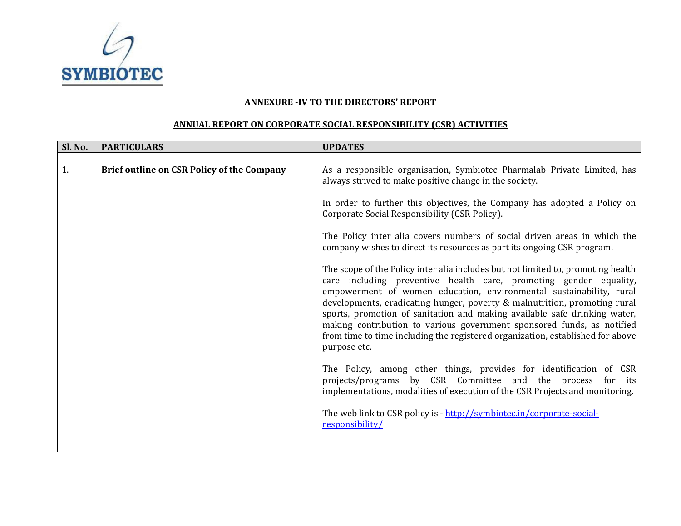

## **ANNEXURE ‐IV TO THE DIRECTORS' REPORT**

## **ANNUAL REPORT ON CORPORATE SOCIAL RESPONSIBILITY (CSR) ACTIVITIES**

| <b>PARTICULARS</b>                                | <b>UPDATES</b>                                                                                                                                                                                                                                                                                                                                                                                                                                                                                                                                                     |
|---------------------------------------------------|--------------------------------------------------------------------------------------------------------------------------------------------------------------------------------------------------------------------------------------------------------------------------------------------------------------------------------------------------------------------------------------------------------------------------------------------------------------------------------------------------------------------------------------------------------------------|
| <b>Brief outline on CSR Policy of the Company</b> | As a responsible organisation, Symbiotec Pharmalab Private Limited, has<br>always strived to make positive change in the society.                                                                                                                                                                                                                                                                                                                                                                                                                                  |
|                                                   | In order to further this objectives, the Company has adopted a Policy on<br>Corporate Social Responsibility (CSR Policy).                                                                                                                                                                                                                                                                                                                                                                                                                                          |
|                                                   | The Policy inter alia covers numbers of social driven areas in which the<br>company wishes to direct its resources as part its ongoing CSR program.                                                                                                                                                                                                                                                                                                                                                                                                                |
|                                                   | The scope of the Policy inter alia includes but not limited to, promoting health<br>care including preventive health care, promoting gender equality,<br>empowerment of women education, environmental sustainability, rural<br>developments, eradicating hunger, poverty & malnutrition, promoting rural<br>sports, promotion of sanitation and making available safe drinking water,<br>making contribution to various government sponsored funds, as notified<br>from time to time including the registered organization, established for above<br>purpose etc. |
|                                                   | The Policy, among other things, provides for identification of CSR<br>projects/programs by CSR Committee and the process for its<br>implementations, modalities of execution of the CSR Projects and monitoring.                                                                                                                                                                                                                                                                                                                                                   |
|                                                   | The web link to CSR policy is - http://symbiotec.in/corporate-social-<br>responsibility/                                                                                                                                                                                                                                                                                                                                                                                                                                                                           |
|                                                   |                                                                                                                                                                                                                                                                                                                                                                                                                                                                                                                                                                    |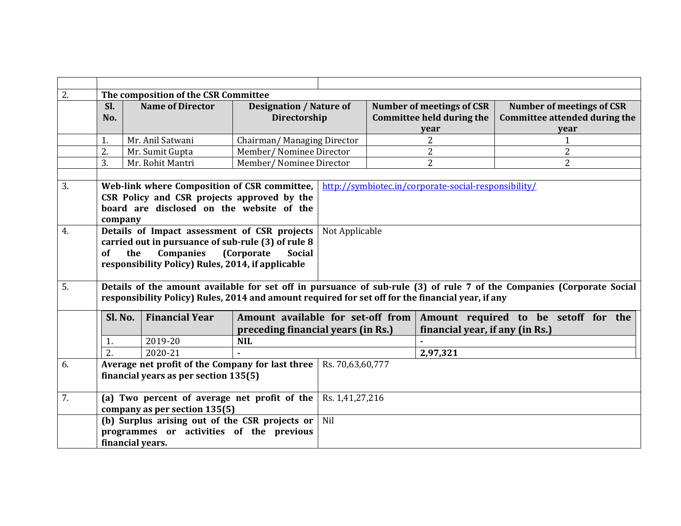| 2. |                                                                                                                                                                                                                            | The composition of the CSR Committee                                                                                                                                               |                                                |                                                                       |          |                                                        |                                      |                                  |  |  |  |  |
|----|----------------------------------------------------------------------------------------------------------------------------------------------------------------------------------------------------------------------------|------------------------------------------------------------------------------------------------------------------------------------------------------------------------------------|------------------------------------------------|-----------------------------------------------------------------------|----------|--------------------------------------------------------|--------------------------------------|----------------------------------|--|--|--|--|
|    | Sl.<br>No.                                                                                                                                                                                                                 | <b>Name of Director</b>                                                                                                                                                            | <b>Designation / Nature of</b><br>Directorship |                                                                       |          | Number of meetings of CSR<br>Committee held during the | <b>Committee attended during the</b> | <b>Number of meetings of CSR</b> |  |  |  |  |
|    |                                                                                                                                                                                                                            |                                                                                                                                                                                    |                                                |                                                                       |          | year                                                   |                                      | year                             |  |  |  |  |
|    | 1.                                                                                                                                                                                                                         | Mr. Anil Satwani                                                                                                                                                                   | Chairman/Managing Director                     |                                                                       |          | $\overline{2}$                                         |                                      | $\mathbf{1}$                     |  |  |  |  |
|    | 2.                                                                                                                                                                                                                         | Mr. Sumit Gupta                                                                                                                                                                    | Member/ Nominee Director                       |                                                                       |          | $\overline{2}$                                         |                                      | $\overline{2}$                   |  |  |  |  |
|    | 3.                                                                                                                                                                                                                         | Mr. Rohit Mantri                                                                                                                                                                   | Member/ Nominee Director                       |                                                                       |          | $\overline{2}$                                         |                                      | $\overline{2}$                   |  |  |  |  |
|    |                                                                                                                                                                                                                            |                                                                                                                                                                                    |                                                |                                                                       |          |                                                        |                                      |                                  |  |  |  |  |
| 3. | company                                                                                                                                                                                                                    | Web-link where Composition of CSR committee,<br>CSR Policy and CSR projects approved by the<br>board are disclosed on the website of the                                           |                                                |                                                                       |          | http://symbiotec.in/corporate-social-responsibility/   |                                      |                                  |  |  |  |  |
| 4. | of                                                                                                                                                                                                                         | Details of Impact assessment of CSR projects<br>carried out in pursuance of sub-rule (3) of rule 8<br><b>Companies</b><br>the<br>responsibility Policy) Rules, 2014, if applicable | (Corporate<br><b>Social</b>                    | Not Applicable                                                        |          |                                                        |                                      |                                  |  |  |  |  |
| 5. | Details of the amount available for set off in pursuance of sub-rule (3) of rule 7 of the Companies (Corporate Social<br>responsibility Policy) Rules, 2014 and amount required for set off for the financial year, if any |                                                                                                                                                                                    |                                                |                                                                       |          |                                                        |                                      |                                  |  |  |  |  |
|    | Sl. No.                                                                                                                                                                                                                    | <b>Financial Year</b>                                                                                                                                                              | Amount available for set-off from              |                                                                       |          | Amount required to be setoff for the                   |                                      |                                  |  |  |  |  |
|    |                                                                                                                                                                                                                            |                                                                                                                                                                                    |                                                | financial year, if any (in Rs.)<br>preceding financial years (in Rs.) |          |                                                        |                                      |                                  |  |  |  |  |
|    | 1.                                                                                                                                                                                                                         | 2019-20                                                                                                                                                                            | <b>NIL</b>                                     |                                                                       |          |                                                        |                                      |                                  |  |  |  |  |
|    | $\overline{2}$ .                                                                                                                                                                                                           | 2020-21                                                                                                                                                                            |                                                |                                                                       | 2,97,321 |                                                        |                                      |                                  |  |  |  |  |
| 6. |                                                                                                                                                                                                                            | Average net profit of the Company for last three<br>financial years as per section 135(5)                                                                                          |                                                | Rs. 70,63,60,777                                                      |          |                                                        |                                      |                                  |  |  |  |  |
| 7. |                                                                                                                                                                                                                            | (a) Two percent of average net profit of the<br>company as per section 135(5)                                                                                                      |                                                | Rs. 1,41,27,216                                                       |          |                                                        |                                      |                                  |  |  |  |  |
|    |                                                                                                                                                                                                                            | (b) Surplus arising out of the CSR projects or                                                                                                                                     |                                                | Nil                                                                   |          |                                                        |                                      |                                  |  |  |  |  |
|    |                                                                                                                                                                                                                            | programmes or activities of the previous                                                                                                                                           |                                                |                                                                       |          |                                                        |                                      |                                  |  |  |  |  |
|    |                                                                                                                                                                                                                            | financial years.                                                                                                                                                                   |                                                |                                                                       |          |                                                        |                                      |                                  |  |  |  |  |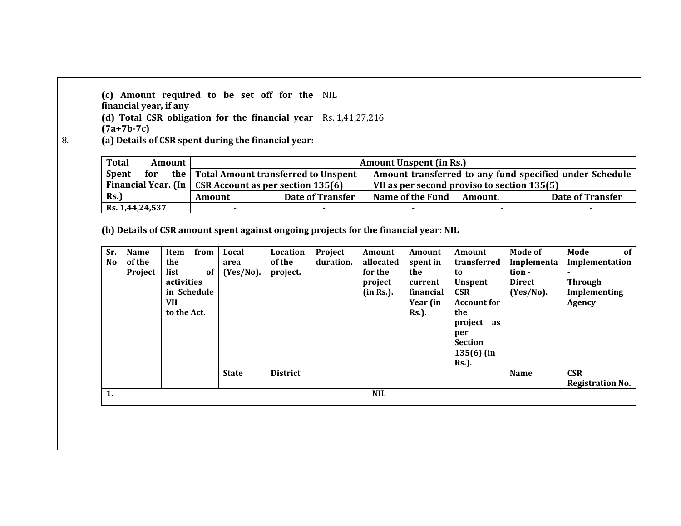|                |                                   |             |      | (d) Total CSR obligation for the financial year     |                    |                         | Rs. 1,41,27,216                                         |                         |                                             |                         |                         |  |  |  |
|----------------|-----------------------------------|-------------|------|-----------------------------------------------------|--------------------|-------------------------|---------------------------------------------------------|-------------------------|---------------------------------------------|-------------------------|-------------------------|--|--|--|
|                | $(7a+7b-7c)$                      |             |      |                                                     |                    |                         |                                                         |                         |                                             |                         |                         |  |  |  |
|                |                                   |             |      | (a) Details of CSR spent during the financial year: |                    |                         |                                                         |                         |                                             |                         |                         |  |  |  |
| <b>Total</b>   |                                   | Amount      |      |                                                     |                    |                         | <b>Amount Unspent (in Rs.)</b>                          |                         |                                             |                         |                         |  |  |  |
| <b>Spent</b>   | for                               | the         |      | <b>Total Amount transferred to Unspent</b>          |                    |                         | Amount transferred to any fund specified under Schedule |                         |                                             |                         |                         |  |  |  |
|                | <b>Financial Year. (In</b>        |             |      | <b>CSR Account as per section 135(6)</b>            |                    |                         |                                                         |                         | VII as per second proviso to section 135(5) |                         |                         |  |  |  |
| Rs.<br>Amount  |                                   |             |      |                                                     |                    | <b>Date of Transfer</b> |                                                         | <b>Name of the Fund</b> | Amount.                                     | <b>Date of Transfer</b> |                         |  |  |  |
|                | Rs. 1,44,24,537<br>$\blacksquare$ |             |      |                                                     |                    |                         |                                                         |                         | $\blacksquare$                              |                         |                         |  |  |  |
| N <sub>0</sub> | of the<br>Project                 | the<br>list | of   | area<br>$(Yes/No)$ .                                | of the<br>project. | duration.               | allocated<br>for the                                    | spent in<br>the         | transferred<br>to                           | Implementa<br>tion -    | Implementation          |  |  |  |
| Sr.            | <b>Name</b>                       | Item        | from | Local                                               | Location           | Project                 | Amount                                                  | Amount                  | Amount                                      | <b>Mode of</b>          | Mode                    |  |  |  |
|                |                                   |             |      |                                                     |                    |                         |                                                         |                         |                                             |                         |                         |  |  |  |
|                |                                   | activities  |      |                                                     |                    |                         | project                                                 | current                 | Unspent                                     | <b>Direct</b>           | <b>Through</b>          |  |  |  |
|                |                                   | in Schedule |      |                                                     |                    |                         | (in Rs.).                                               | financial               | <b>CSR</b>                                  | $(Yes/No)$ .            | Implementing            |  |  |  |
|                |                                   | <b>VII</b>  |      |                                                     |                    |                         |                                                         | Year (in                | <b>Account for</b>                          |                         | Agency                  |  |  |  |
|                |                                   | to the Act. |      |                                                     |                    |                         |                                                         | <b>Rs.</b> ).           | the                                         |                         |                         |  |  |  |
|                |                                   |             |      |                                                     |                    |                         |                                                         |                         | project as<br>per                           |                         |                         |  |  |  |
|                |                                   |             |      |                                                     |                    |                         |                                                         |                         | <b>Section</b>                              |                         |                         |  |  |  |
|                |                                   |             |      |                                                     |                    |                         |                                                         |                         | $135(6)$ (in                                |                         |                         |  |  |  |
|                |                                   |             |      |                                                     |                    |                         |                                                         |                         | <b>Rs.</b> ).                               |                         |                         |  |  |  |
|                |                                   |             |      | <b>State</b>                                        | <b>District</b>    |                         |                                                         |                         |                                             | <b>Name</b>             | <b>CSR</b>              |  |  |  |
|                |                                   |             |      |                                                     |                    |                         |                                                         |                         |                                             |                         | <b>Registration No.</b> |  |  |  |
| 1.             |                                   |             |      |                                                     |                    |                         | <b>NIL</b>                                              |                         |                                             |                         |                         |  |  |  |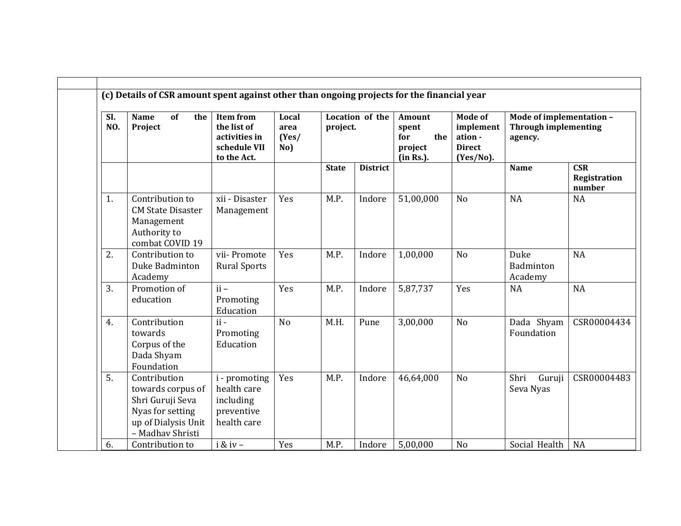| SI.<br>NO. | of<br><b>Name</b><br>the<br>Project                                                                                  | <b>Item from</b><br>the list of<br>activities in<br>schedule VII<br>to the Act. | Local<br>area<br>(Yes/<br>No) | project.     | Location of the | Amount<br>spent<br>the<br>for<br>project<br>(in Rs.). | Mode of<br>implement<br>ation -<br><b>Direct</b><br>$(Yes/No)$ . | Mode of implementation -<br><b>Through implementing</b><br>agency. |                                      |  |
|------------|----------------------------------------------------------------------------------------------------------------------|---------------------------------------------------------------------------------|-------------------------------|--------------|-----------------|-------------------------------------------------------|------------------------------------------------------------------|--------------------------------------------------------------------|--------------------------------------|--|
|            |                                                                                                                      |                                                                                 |                               | <b>State</b> | <b>District</b> |                                                       |                                                                  | <b>Name</b>                                                        | <b>CSR</b><br>Registration<br>number |  |
| 1.         | Contribution to<br><b>CM State Disaster</b><br>Management<br>Authority to<br>combat COVID 19                         | xii - Disaster<br>Management                                                    | Yes                           | M.P.         | Indore          | 51,00,000                                             | N <sub>o</sub>                                                   | <b>NA</b>                                                          | <b>NA</b>                            |  |
| 2.         | Contribution to<br>Duke Badminton<br>Academy                                                                         | vii-Promote<br><b>Rural Sports</b>                                              | Yes                           | M.P.         | Indore          | 1,00,000                                              | N <sub>o</sub>                                                   | Duke<br>Badminton<br>Academy                                       | <b>NA</b>                            |  |
| 3.         | Promotion of<br>education                                                                                            | $ii -$<br>Promoting<br>Education                                                | Yes                           | M.P.         | Indore          | 5,87,737                                              | Yes                                                              | NA                                                                 | <b>NA</b>                            |  |
| 4.         | Contribution<br>towards<br>Corpus of the<br>Dada Shyam<br>Foundation                                                 | $ii -$<br>Promoting<br>Education                                                | N <sub>o</sub>                | M.H.         | Pune            | 3,00,000                                              | N <sub>o</sub>                                                   | Dada Shyam<br>Foundation                                           | CSR00004434                          |  |
| 5.         | Contribution<br>towards corpus of<br>Shri Guruji Seva<br>Nyas for setting<br>up of Dialysis Unit<br>- Madhav Shristi | i - promoting<br>health care<br>including<br>preventive<br>health care          | Yes                           | M.P.         | Indore          | 46,64,000                                             | No                                                               | Shri<br>Guruji<br>Seva Nyas                                        | CSR00004483                          |  |
| 6.         | Contribution to                                                                                                      | $i & iv -$                                                                      | Yes                           | M.P.         | Indore          | 5,00,000                                              | No                                                               | Social Health                                                      | <b>NA</b>                            |  |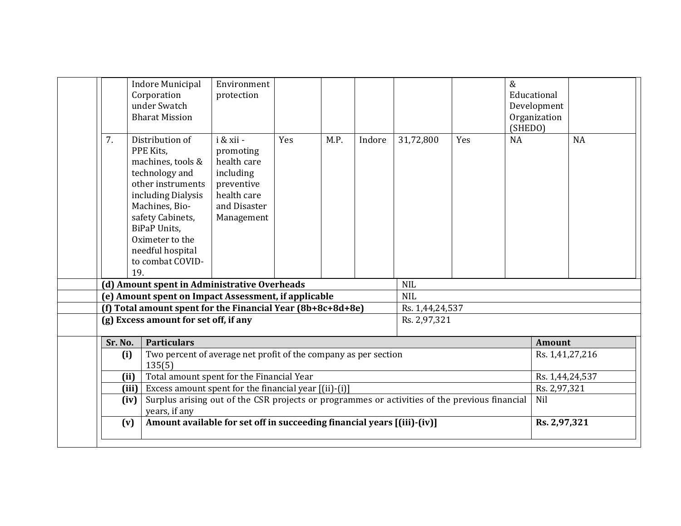| 7.<br>PPE Kits.<br>Oximeter to the<br>19.<br>(f) Total amount spent for the Financial Year (8b+8c+8d+8e) | Distribution of<br>machines, tools &<br>technology and<br>other instruments<br>including Dialysis<br>Machines, Bio-<br>safety Cabinets,<br><b>BiPaP Units,</b> | i & xii -<br>promoting<br>health care<br>including<br>preventive<br>health care<br>and Disaster<br>Management | Yes | M.P.                            | Indore | 31,72,800  | Yes             | (SHEDO)<br>NA | <b>NA</b> |  |  |
|----------------------------------------------------------------------------------------------------------|----------------------------------------------------------------------------------------------------------------------------------------------------------------|---------------------------------------------------------------------------------------------------------------|-----|---------------------------------|--------|------------|-----------------|---------------|-----------|--|--|
|                                                                                                          | needful hospital<br>to combat COVID-                                                                                                                           |                                                                                                               |     |                                 |        |            |                 |               |           |  |  |
|                                                                                                          |                                                                                                                                                                | (d) Amount spent in Administrative Overheads                                                                  |     |                                 |        | <b>NIL</b> |                 |               |           |  |  |
|                                                                                                          |                                                                                                                                                                | (e) Amount spent on Impact Assessment, if applicable                                                          |     | <b>NIL</b>                      |        |            |                 |               |           |  |  |
|                                                                                                          |                                                                                                                                                                |                                                                                                               |     | Rs. 1,44,24,537<br>Rs. 2,97,321 |        |            |                 |               |           |  |  |
|                                                                                                          | (g) Excess amount for set off, if any                                                                                                                          |                                                                                                               |     |                                 |        |            |                 |               |           |  |  |
| Sr. No.                                                                                                  | <b>Particulars</b>                                                                                                                                             |                                                                                                               |     | <b>Amount</b>                   |        |            |                 |               |           |  |  |
| (i)                                                                                                      | Two percent of average net profit of the company as per section<br>135(5)                                                                                      | Rs. 1,41,27,216                                                                                               |     |                                 |        |            |                 |               |           |  |  |
| (ii)                                                                                                     |                                                                                                                                                                | Total amount spent for the Financial Year                                                                     |     |                                 |        |            | Rs. 1,44,24,537 |               |           |  |  |
| (iii)                                                                                                    |                                                                                                                                                                | Excess amount spent for the financial year [(ii)-(i)]                                                         |     |                                 |        |            |                 | Rs. 2,97,321  |           |  |  |
| (iv)                                                                                                     |                                                                                                                                                                | Surplus arising out of the CSR projects or programmes or activities of the previous financial                 |     |                                 |        |            |                 | Nil           |           |  |  |
| (v)                                                                                                      | years, if any                                                                                                                                                  | Amount available for set off in succeeding financial years [(iii)-(iv)]                                       |     |                                 |        |            |                 | Rs. 2,97,321  |           |  |  |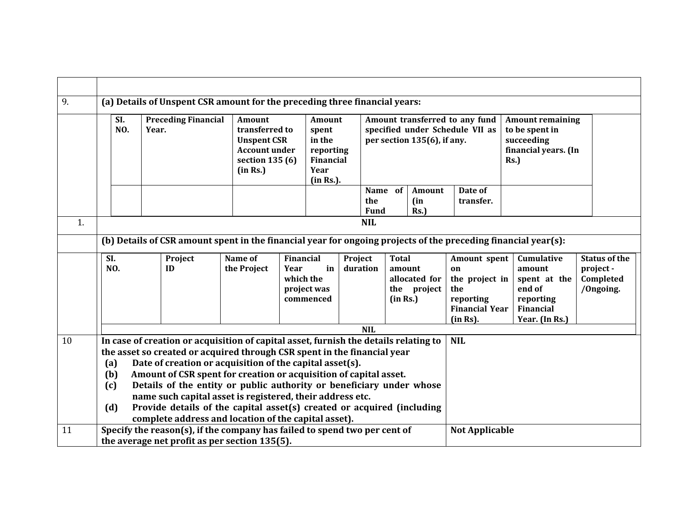| 9. |                                                                                                                                                                                                                                                                                                                                                                                                                                                                                                                                                                                                      |                                                                                                                                  | (a) Details of Unspent CSR amount for the preceding three financial years:                                                 |                                                                                 |  |                                                                          |                                                                                           |                                                                                                  |  |                                                                                               |                                                                                            |                                                                                            |                                                             |  |
|----|------------------------------------------------------------------------------------------------------------------------------------------------------------------------------------------------------------------------------------------------------------------------------------------------------------------------------------------------------------------------------------------------------------------------------------------------------------------------------------------------------------------------------------------------------------------------------------------------------|----------------------------------------------------------------------------------------------------------------------------------|----------------------------------------------------------------------------------------------------------------------------|---------------------------------------------------------------------------------|--|--------------------------------------------------------------------------|-------------------------------------------------------------------------------------------|--------------------------------------------------------------------------------------------------|--|-----------------------------------------------------------------------------------------------|--------------------------------------------------------------------------------------------|--------------------------------------------------------------------------------------------|-------------------------------------------------------------|--|
|    | SI.<br><b>Preceding Financial</b><br><b>NO.</b><br>Year.                                                                                                                                                                                                                                                                                                                                                                                                                                                                                                                                             |                                                                                                                                  | <b>Amount</b><br>(in Rs.)                                                                                                  | transferred to<br><b>Unspent CSR</b><br><b>Account under</b><br>section 135 (6) |  | Amount<br>spent<br>in the<br>reporting<br>Financial<br>Year<br>(in Rs.). |                                                                                           | Amount transferred to any fund<br>specified under Schedule VII as<br>per section 135(6), if any. |  |                                                                                               | <b>Amount remaining</b><br>to be spent in<br>succeeding<br>financial years. (In<br>$Rs.$ ) |                                                                                            |                                                             |  |
|    |                                                                                                                                                                                                                                                                                                                                                                                                                                                                                                                                                                                                      |                                                                                                                                  |                                                                                                                            |                                                                                 |  |                                                                          |                                                                                           | Name of<br>the<br><b>Fund</b>                                                                    |  | Amount<br>(in<br>Rs.                                                                          | Date of<br>transfer.                                                                       |                                                                                            |                                                             |  |
| 1. | <b>NIL</b>                                                                                                                                                                                                                                                                                                                                                                                                                                                                                                                                                                                           |                                                                                                                                  |                                                                                                                            |                                                                                 |  |                                                                          |                                                                                           |                                                                                                  |  |                                                                                               |                                                                                            |                                                                                            |                                                             |  |
|    | (b) Details of CSR amount spent in the financial year for ongoing projects of the preceding financial year(s):                                                                                                                                                                                                                                                                                                                                                                                                                                                                                       |                                                                                                                                  |                                                                                                                            |                                                                                 |  |                                                                          |                                                                                           |                                                                                                  |  |                                                                                               |                                                                                            |                                                                                            |                                                             |  |
|    |                                                                                                                                                                                                                                                                                                                                                                                                                                                                                                                                                                                                      | SI.<br>Name of<br><b>Financial</b><br>Project<br>NO.<br>the Project<br>in<br>ID<br>Year<br>which the<br>project was<br>commenced |                                                                                                                            |                                                                                 |  |                                                                          | <b>Total</b><br>Project<br>duration<br>amount<br>allocated for<br>the project<br>(in Rs.) |                                                                                                  |  | Amount spent<br>on<br>the project in<br>the<br>reporting<br><b>Financial Year</b><br>(in Rs). |                                                                                            | Cumulative<br>amount<br>spent at the<br>end of<br>reporting<br>Financial<br>Year. (In Rs.) | <b>Status of the</b><br>project -<br>Completed<br>/Ongoing. |  |
|    | <b>NIL</b>                                                                                                                                                                                                                                                                                                                                                                                                                                                                                                                                                                                           |                                                                                                                                  |                                                                                                                            |                                                                                 |  |                                                                          |                                                                                           |                                                                                                  |  |                                                                                               |                                                                                            |                                                                                            |                                                             |  |
| 10 | In case of creation or acquisition of capital asset, furnish the details relating to<br>the asset so created or acquired through CSR spent in the financial year<br>Date of creation or acquisition of the capital asset(s).<br>(a)<br>Amount of CSR spent for creation or acquisition of capital asset.<br>(b)<br>Details of the entity or public authority or beneficiary under whose<br>(c)<br>name such capital asset is registered, their address etc.<br>Provide details of the capital asset(s) created or acquired (including<br>(d)<br>complete address and location of the capital asset). |                                                                                                                                  |                                                                                                                            |                                                                                 |  |                                                                          |                                                                                           |                                                                                                  |  |                                                                                               | <b>NIL</b>                                                                                 |                                                                                            |                                                             |  |
| 11 |                                                                                                                                                                                                                                                                                                                                                                                                                                                                                                                                                                                                      |                                                                                                                                  | Specify the reason(s), if the company has failed to spend two per cent of<br>the average net profit as per section 135(5). |                                                                                 |  |                                                                          |                                                                                           |                                                                                                  |  |                                                                                               | <b>Not Applicable</b>                                                                      |                                                                                            |                                                             |  |